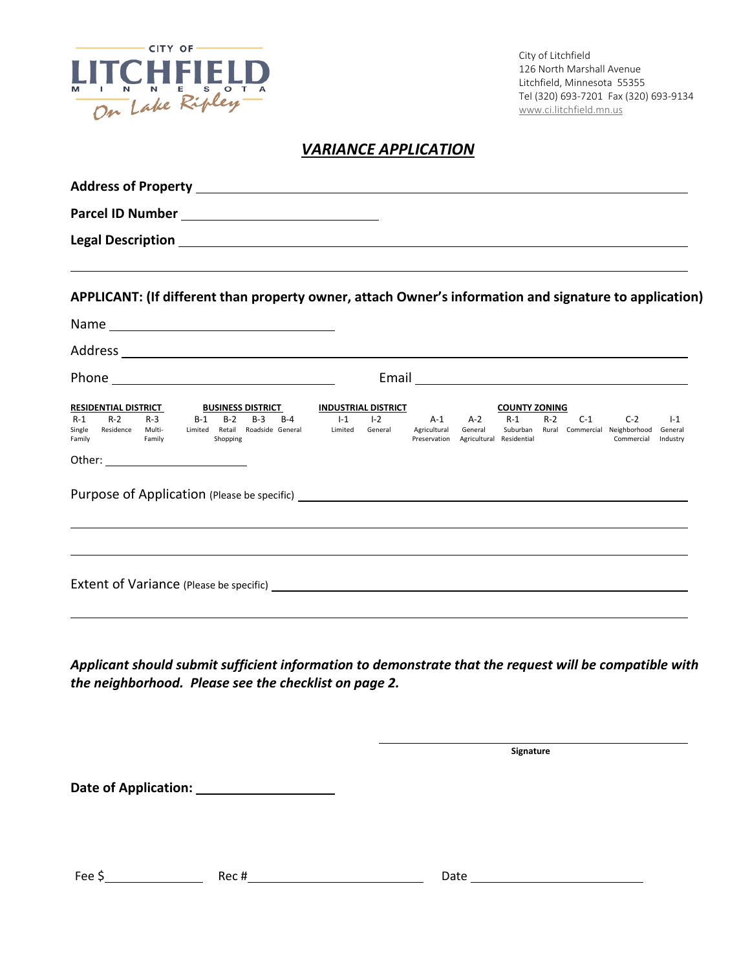

City of Litchfield 126 North Marshall Avenue Litchfield, Minnesota 55355 Tel (320) 693-7201 Fax (320) 693-9134 [www.ci.litchfield.mn.us](http://www.ci.litchfield.mn.us/)

## *VARIANCE APPLICATION*

|                                                                                                                                                                                                                                                                                                  | APPLICANT: (If different than property owner, attach Owner's information and signature to application)                                                                                                                                    |
|--------------------------------------------------------------------------------------------------------------------------------------------------------------------------------------------------------------------------------------------------------------------------------------------------|-------------------------------------------------------------------------------------------------------------------------------------------------------------------------------------------------------------------------------------------|
|                                                                                                                                                                                                                                                                                                  |                                                                                                                                                                                                                                           |
|                                                                                                                                                                                                                                                                                                  |                                                                                                                                                                                                                                           |
|                                                                                                                                                                                                                                                                                                  |                                                                                                                                                                                                                                           |
| <b>RESIDENTIAL DISTRICT</b><br><b>BUSINESS DISTRICT</b><br><b>INDUSTRIAL DISTRICT</b><br>$I-1$<br>$R-2$<br>$R-3$<br>$B-3$<br>$R-1$<br>$B-1$<br>$B-2$<br>B-4<br>Residence Multi-<br>Limited Retail Roadside General<br>Limited General<br>Single<br><b>Example 1</b> Family<br>Family<br>Shopping | <b>COUNTY ZONING</b><br>$I - 2$ $A - 1$<br>$A-2$<br>R-2 C-1<br>$R-1$<br>$C-2$<br>$1-1$<br>Agricultural<br>Suburban Rural Commercial Neighborhood<br>General<br>General<br>Preservation<br>Agricultural Residential<br>Commercial Industry |
|                                                                                                                                                                                                                                                                                                  |                                                                                                                                                                                                                                           |
|                                                                                                                                                                                                                                                                                                  |                                                                                                                                                                                                                                           |
|                                                                                                                                                                                                                                                                                                  |                                                                                                                                                                                                                                           |

*Applicant should submit sufficient information to demonstrate that the request will be compatible with the neighborhood. Please see the checklist on page 2.*

**Signature Signature Signature** 

**Date of Application:** 

Fee \$ Rec # Date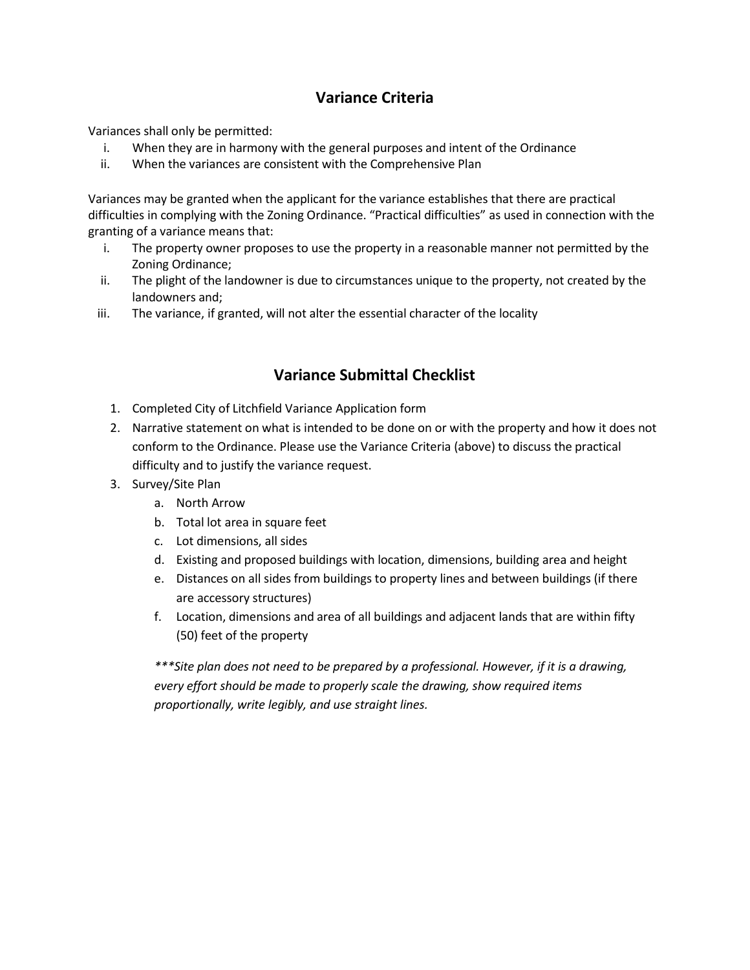## **Variance Criteria**

Variances shall only be permitted:

- i. When they are in harmony with the general purposes and intent of the Ordinance
- ii. When the variances are consistent with the Comprehensive Plan

Variances may be granted when the applicant for the variance establishes that there are practical difficulties in complying with the Zoning Ordinance. "Practical difficulties" as used in connection with the granting of a variance means that:

- i. The property owner proposes to use the property in a reasonable manner not permitted by the Zoning Ordinance;
- ii. The plight of the landowner is due to circumstances unique to the property, not created by the landowners and;
- iii. The variance, if granted, will not alter the essential character of the locality

## **Variance Submittal Checklist**

- 1. Completed City of Litchfield Variance Application form
- 2. Narrative statement on what is intended to be done on or with the property and how it does not conform to the Ordinance. Please use the Variance Criteria (above) to discuss the practical difficulty and to justify the variance request.
- 3. Survey/Site Plan
	- a. North Arrow
	- b. Total lot area in square feet
	- c. Lot dimensions, all sides
	- d. Existing and proposed buildings with location, dimensions, building area and height
	- e. Distances on all sides from buildings to property lines and between buildings (if there are accessory structures)
	- f. Location, dimensions and area of all buildings and adjacent lands that are within fifty (50) feet of the property

*\*\*\*Site plan does not need to be prepared by a professional. However, if it is a drawing, every effort should be made to properly scale the drawing, show required items proportionally, write legibly, and use straight lines.*